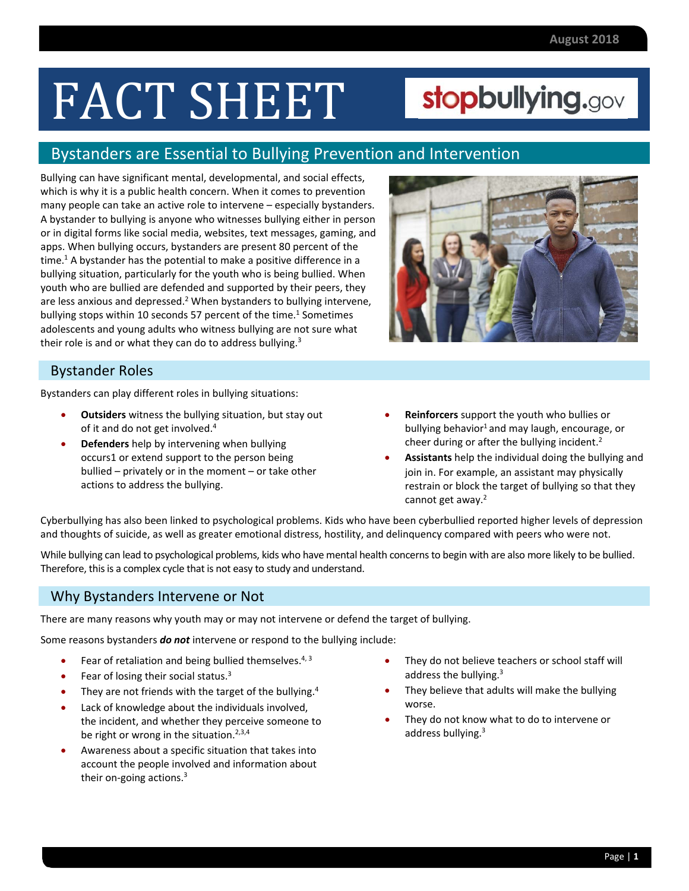# FACT SHEET

## [stopbullying.gov](https://stopbullying.gov)

### Bystanders are Essential to Bullying Prevention and Intervention

 Bullying can have significant mental, developmental, and social effects, which is why it is a public health concern. When it comes to prevention many people can take an active role to intervene – especially bystanders. A bystander to bullying is anyone who witnesses bullying either in person or in digital forms like social media, websites, text messages, gaming, and apps. When bullying occurs, bystanders are present 80 percent of the time.<sup>1</sup> A bystander has the potential to make a positive difference in a bullying situation, particularly for the youth who is being bullied. When youth who are bullied are defended and supported by their peers, they are less anxious and depressed.<sup>2</sup> When bystanders to bullying intervene, bullying stops within 10 seconds 57 percent of the time.<sup>1</sup> Sometimes adolescents and young adults who witness bullying are not sure what their role is and or what they can do to address bullying.<sup>3</sup>

#### Bystander Roles

Bystanders can play different roles in bullying situations:

- **Outsiders** witness the bullying situation, but stay out of it and do not get involved.<sup>4</sup>
- **Defenders** help by intervening when bullying occurs1 or extend support to the person being bullied – privately or in the moment – or take other actions to address the bullying.



- **Reinforcers** support the youth who bullies or bullying behavior<sup>1</sup> and may laugh, encourage, or cheer during or after the bullying incident.<sup>2</sup>
- **Assistants** help the individual doing the bullying and join in. For example, an assistant may physically restrain or block the target of bullying so that they cannot get away.<sup>2</sup>

 Cyberbullying has also been linked to psychological problems. Kids who have been cyberbullied reported higher levels of depression and thoughts of suicide, as well as greater emotional distress, hostility, and delinquency compared with peers who were not.

 While bullying can lead to psychological problems, kids who have mental health concernsto begin with are also more likely to be bullied. Therefore, this is a complex cycle that is not easy to study and understand.

#### Why Bystanders Intervene or Not

There are many reasons why youth may or may not intervene or defend the target of bullying.

Some reasons bystanders *do not* intervene or respond to the bullying include:

- **•** Fear of retaliation and being bullied themselves.<sup>4, 3</sup>
- Fear of losing their social status. $3$
- They are not friends with the target of the bullying. $4$
- Lack of knowledge about the individuals involved, the incident, and whether they perceive someone to be right or wrong in the situation.<sup>2,3,4</sup>
- Awareness about a specific situation that takes into account the people involved and information about their on-going actions.<sup>3</sup>
- They do not believe teachers or school staff will address the bullying.<sup>3</sup>
- They believe that adults will make the bullying worse.
- They do not know what to do to intervene or address bullying.<sup>3</sup>